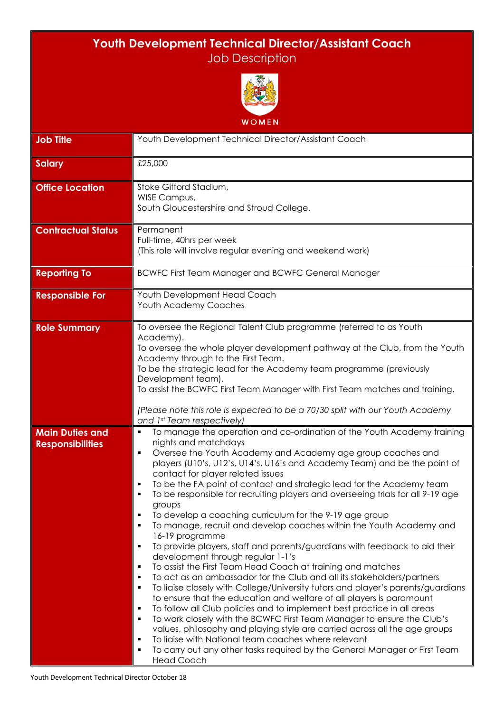## **Youth Development Technical Director/Assistant Coach** Job Description



| <b>WOMEN</b>                                      |                                                                                                                                                                                                                                                                                                                                                                                                                                                                                                                                                                                                                                                                                                                                                                                                                                                                                                                                                                                                                                                                                                                                                                                                                                                                                                                                                                                                                                                                                                  |  |
|---------------------------------------------------|--------------------------------------------------------------------------------------------------------------------------------------------------------------------------------------------------------------------------------------------------------------------------------------------------------------------------------------------------------------------------------------------------------------------------------------------------------------------------------------------------------------------------------------------------------------------------------------------------------------------------------------------------------------------------------------------------------------------------------------------------------------------------------------------------------------------------------------------------------------------------------------------------------------------------------------------------------------------------------------------------------------------------------------------------------------------------------------------------------------------------------------------------------------------------------------------------------------------------------------------------------------------------------------------------------------------------------------------------------------------------------------------------------------------------------------------------------------------------------------------------|--|
| <b>Job Title</b>                                  | Youth Development Technical Director/Assistant Coach                                                                                                                                                                                                                                                                                                                                                                                                                                                                                                                                                                                                                                                                                                                                                                                                                                                                                                                                                                                                                                                                                                                                                                                                                                                                                                                                                                                                                                             |  |
| <b>Salary</b>                                     | £25,000                                                                                                                                                                                                                                                                                                                                                                                                                                                                                                                                                                                                                                                                                                                                                                                                                                                                                                                                                                                                                                                                                                                                                                                                                                                                                                                                                                                                                                                                                          |  |
| <b>Office Location</b>                            | Stoke Gifford Stadium,<br>WISE Campus,<br>South Gloucestershire and Stroud College.                                                                                                                                                                                                                                                                                                                                                                                                                                                                                                                                                                                                                                                                                                                                                                                                                                                                                                                                                                                                                                                                                                                                                                                                                                                                                                                                                                                                              |  |
| <b>Contractual Status</b>                         | Permanent<br>Full-time, 40hrs per week<br>(This role will involve regular evening and weekend work)                                                                                                                                                                                                                                                                                                                                                                                                                                                                                                                                                                                                                                                                                                                                                                                                                                                                                                                                                                                                                                                                                                                                                                                                                                                                                                                                                                                              |  |
| <b>Reporting To</b>                               | <b>BCWFC First Team Manager and BCWFC General Manager</b>                                                                                                                                                                                                                                                                                                                                                                                                                                                                                                                                                                                                                                                                                                                                                                                                                                                                                                                                                                                                                                                                                                                                                                                                                                                                                                                                                                                                                                        |  |
| <b>Responsible For</b>                            | Youth Development Head Coach<br>Youth Academy Coaches                                                                                                                                                                                                                                                                                                                                                                                                                                                                                                                                                                                                                                                                                                                                                                                                                                                                                                                                                                                                                                                                                                                                                                                                                                                                                                                                                                                                                                            |  |
| <b>Role Summary</b>                               | To oversee the Regional Talent Club programme (referred to as Youth<br>Academy).<br>To oversee the whole player development pathway at the Club, from the Youth<br>Academy through to the First Team.<br>To be the strategic lead for the Academy team programme (previously<br>Development team).<br>To assist the BCWFC First Team Manager with First Team matches and training.<br>(Please note this role is expected to be a 70/30 split with our Youth Academy<br>and 1st Team respectively)                                                                                                                                                                                                                                                                                                                                                                                                                                                                                                                                                                                                                                                                                                                                                                                                                                                                                                                                                                                                |  |
| <b>Main Duties and</b><br><b>Responsibilities</b> | To manage the operation and co-ordination of the Youth Academy training<br>٠<br>nights and matchdays<br>Oversee the Youth Academy and Academy age group coaches and<br>٠<br>players (U10's, U12's, U14's, U16's and Academy Team) and be the point of<br>contact for player related issues<br>To be the FA point of contact and strategic lead for the Academy team<br>Е<br>To be responsible for recruiting players and overseeing trials for all 9-19 age<br>groups<br>To develop a coaching curriculum for the 9-19 age group<br>٠<br>To manage, recruit and develop coaches within the Youth Academy and<br>П<br>16-19 programme<br>To provide players, staff and parents/guardians with feedback to aid their<br>٠<br>development through regular 1-1's<br>To assist the First Team Head Coach at training and matches<br>Е<br>To act as an ambassador for the Club and all its stakeholders/partners<br>Е<br>To liaise closely with College/University tutors and player's parents/guardians<br>Е<br>to ensure that the education and welfare of all players is paramount<br>To follow all Club policies and to implement best practice in all areas<br>Е<br>To work closely with the BCWFC First Team Manager to ensure the Club's<br>П<br>values, philosophy and playing style are carried across all the age groups<br>To liaise with National team coaches where relevant<br>п<br>To carry out any other tasks required by the General Manager or First Team<br>Е<br><b>Head Coach</b> |  |